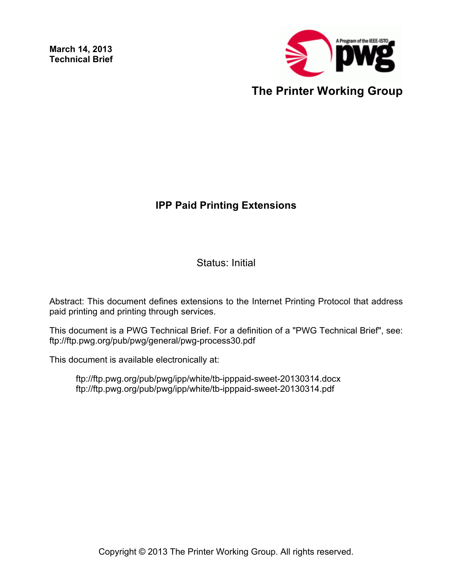**March 14, 2013 Technical Brief**



# **IPP Paid Printing Extensions**

Status: Initial

Abstract: This document defines extensions to the Internet Printing Protocol that address paid printing and printing through services.

This document is a PWG Technical Brief. For a definition of a "PWG Technical Brief", see: ftp://ftp.pwg.org/pub/pwg/general/pwg-process30.pdf

This document is available electronically at:

ftp://ftp.pwg.org/pub/pwg/ipp/white/tb-ipppaid-sweet-20130314.docx ftp://ftp.pwg.org/pub/pwg/ipp/white/tb-ipppaid-sweet-20130314.pdf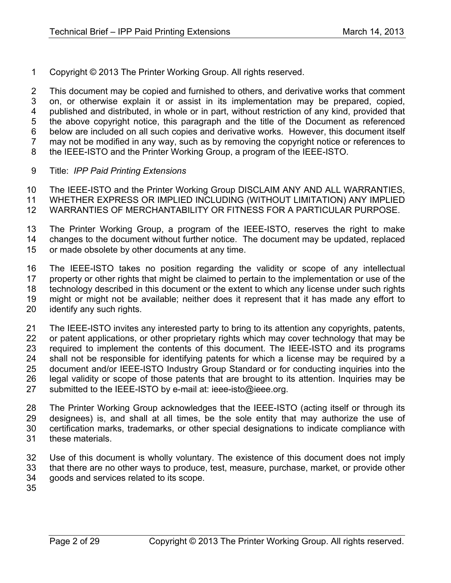Copyright © 2013 The Printer Working Group. All rights reserved.

 This document may be copied and furnished to others, and derivative works that comment on, or otherwise explain it or assist in its implementation may be prepared, copied, published and distributed, in whole or in part, without restriction of any kind, provided that the above copyright notice, this paragraph and the title of the Document as referenced below are included on all such copies and derivative works. However, this document itself may not be modified in any way, such as by removing the copyright notice or references to the IEEE-ISTO and the Printer Working Group, a program of the IEEE-ISTO.

Title: *IPP Paid Printing Extensions*

 The IEEE-ISTO and the Printer Working Group DISCLAIM ANY AND ALL WARRANTIES, WHETHER EXPRESS OR IMPLIED INCLUDING (WITHOUT LIMITATION) ANY IMPLIED WARRANTIES OF MERCHANTABILITY OR FITNESS FOR A PARTICULAR PURPOSE.

- The Printer Working Group, a program of the IEEE-ISTO, reserves the right to make changes to the document without further notice. The document may be updated, replaced
- or made obsolete by other documents at any time.

 The IEEE-ISTO takes no position regarding the validity or scope of any intellectual property or other rights that might be claimed to pertain to the implementation or use of the technology described in this document or the extent to which any license under such rights might or might not be available; neither does it represent that it has made any effort to identify any such rights.

 The IEEE-ISTO invites any interested party to bring to its attention any copyrights, patents, 22 or patent applications, or other proprietary rights which may cover technology that may be required to implement the contents of this document. The IEEE-ISTO and its programs shall not be responsible for identifying patents for which a license may be required by a document and/or IEEE-ISTO Industry Group Standard or for conducting inquiries into the legal validity or scope of those patents that are brought to its attention. Inquiries may be submitted to the IEEE-ISTO by e-mail at: ieee-isto@ieee.org.

 The Printer Working Group acknowledges that the IEEE-ISTO (acting itself or through its designees) is, and shall at all times, be the sole entity that may authorize the use of certification marks, trademarks, or other special designations to indicate compliance with these materials.

- Use of this document is wholly voluntary. The existence of this document does not imply that there are no other ways to produce, test, measure, purchase, market, or provide other goods and services related to its scope.
-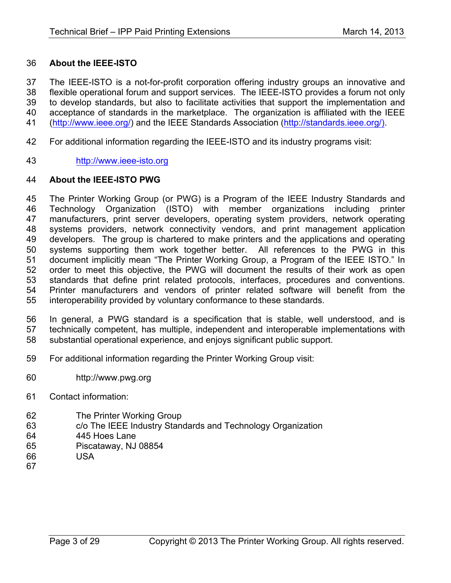#### **About the IEEE-ISTO**

 The IEEE-ISTO is a not-for-profit corporation offering industry groups an innovative and flexible operational forum and support services. The IEEE-ISTO provides a forum not only to develop standards, but also to facilitate activities that support the implementation and acceptance of standards in the marketplace. The organization is affiliated with the IEEE (http://www.ieee.org/) and the IEEE Standards Association (http://standards.ieee.org/).

- For additional information regarding the IEEE-ISTO and its industry programs visit:
- http://www.ieee-isto.org

#### **About the IEEE-ISTO PWG**

 The Printer Working Group (or PWG) is a Program of the IEEE Industry Standards and Technology Organization (ISTO) with member organizations including printer manufacturers, print server developers, operating system providers, network operating systems providers, network connectivity vendors, and print management application developers. The group is chartered to make printers and the applications and operating systems supporting them work together better. All references to the PWG in this document implicitly mean "The Printer Working Group, a Program of the IEEE ISTO." In order to meet this objective, the PWG will document the results of their work as open standards that define print related protocols, interfaces, procedures and conventions. Printer manufacturers and vendors of printer related software will benefit from the interoperability provided by voluntary conformance to these standards.

 In general, a PWG standard is a specification that is stable, well understood, and is technically competent, has multiple, independent and interoperable implementations with substantial operational experience, and enjoys significant public support.

- For additional information regarding the Printer Working Group visit:
- http://www.pwg.org
- Contact information:
- The Printer Working Group
- c/o The IEEE Industry Standards and Technology Organization
- 445 Hoes Lane
- Piscataway, NJ 08854
- USA
-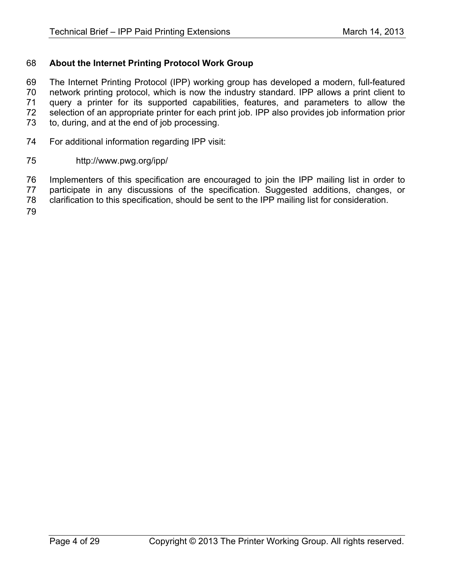## **About the Internet Printing Protocol Work Group**

 The Internet Printing Protocol (IPP) working group has developed a modern, full-featured network printing protocol, which is now the industry standard. IPP allows a print client to query a printer for its supported capabilities, features, and parameters to allow the selection of an appropriate printer for each print job. IPP also provides job information prior to, during, and at the end of job processing.

- For additional information regarding IPP visit:
- http://www.pwg.org/ipp/

 Implementers of this specification are encouraged to join the IPP mailing list in order to participate in any discussions of the specification. Suggested additions, changes, or

clarification to this specification, should be sent to the IPP mailing list for consideration.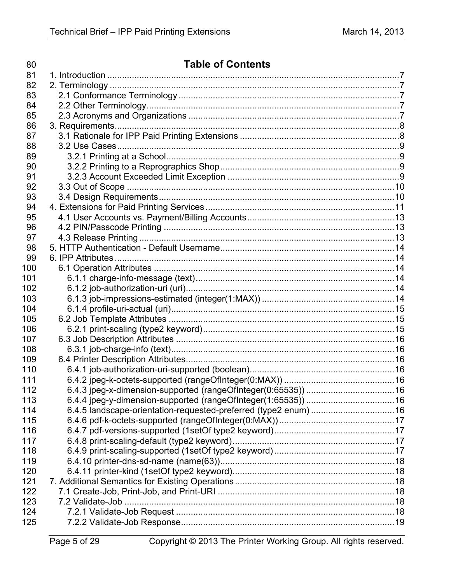| 81<br>82<br>83<br>84<br>85<br>86<br>87<br>88<br>89<br>90<br>91<br>92<br>93<br>94<br>95<br>96<br>97<br>98<br>99<br>100<br>101<br>102<br>103<br>104<br>105<br>106<br>107<br>108<br>109<br>110<br>111<br>112<br>113<br>114<br>115<br>116<br>117<br>118<br>119<br>120<br>121<br>122<br>123<br>124<br>125 | 80 | <b>Table of Contents</b> |  |
|------------------------------------------------------------------------------------------------------------------------------------------------------------------------------------------------------------------------------------------------------------------------------------------------------|----|--------------------------|--|
|                                                                                                                                                                                                                                                                                                      |    |                          |  |
|                                                                                                                                                                                                                                                                                                      |    |                          |  |
|                                                                                                                                                                                                                                                                                                      |    |                          |  |
|                                                                                                                                                                                                                                                                                                      |    |                          |  |
|                                                                                                                                                                                                                                                                                                      |    |                          |  |
|                                                                                                                                                                                                                                                                                                      |    |                          |  |
|                                                                                                                                                                                                                                                                                                      |    |                          |  |
|                                                                                                                                                                                                                                                                                                      |    |                          |  |
|                                                                                                                                                                                                                                                                                                      |    |                          |  |
|                                                                                                                                                                                                                                                                                                      |    |                          |  |
|                                                                                                                                                                                                                                                                                                      |    |                          |  |
|                                                                                                                                                                                                                                                                                                      |    |                          |  |
|                                                                                                                                                                                                                                                                                                      |    |                          |  |
|                                                                                                                                                                                                                                                                                                      |    |                          |  |
|                                                                                                                                                                                                                                                                                                      |    |                          |  |
|                                                                                                                                                                                                                                                                                                      |    |                          |  |
|                                                                                                                                                                                                                                                                                                      |    |                          |  |
|                                                                                                                                                                                                                                                                                                      |    |                          |  |
|                                                                                                                                                                                                                                                                                                      |    |                          |  |
|                                                                                                                                                                                                                                                                                                      |    |                          |  |
|                                                                                                                                                                                                                                                                                                      |    |                          |  |
|                                                                                                                                                                                                                                                                                                      |    |                          |  |
|                                                                                                                                                                                                                                                                                                      |    |                          |  |
|                                                                                                                                                                                                                                                                                                      |    |                          |  |
|                                                                                                                                                                                                                                                                                                      |    |                          |  |
|                                                                                                                                                                                                                                                                                                      |    |                          |  |
|                                                                                                                                                                                                                                                                                                      |    |                          |  |
|                                                                                                                                                                                                                                                                                                      |    |                          |  |
|                                                                                                                                                                                                                                                                                                      |    |                          |  |
|                                                                                                                                                                                                                                                                                                      |    |                          |  |
|                                                                                                                                                                                                                                                                                                      |    |                          |  |
|                                                                                                                                                                                                                                                                                                      |    |                          |  |
|                                                                                                                                                                                                                                                                                                      |    |                          |  |
|                                                                                                                                                                                                                                                                                                      |    |                          |  |
|                                                                                                                                                                                                                                                                                                      |    |                          |  |
|                                                                                                                                                                                                                                                                                                      |    |                          |  |
|                                                                                                                                                                                                                                                                                                      |    |                          |  |
|                                                                                                                                                                                                                                                                                                      |    |                          |  |
|                                                                                                                                                                                                                                                                                                      |    |                          |  |
|                                                                                                                                                                                                                                                                                                      |    |                          |  |
|                                                                                                                                                                                                                                                                                                      |    |                          |  |
|                                                                                                                                                                                                                                                                                                      |    |                          |  |
|                                                                                                                                                                                                                                                                                                      |    |                          |  |
|                                                                                                                                                                                                                                                                                                      |    |                          |  |
|                                                                                                                                                                                                                                                                                                      |    |                          |  |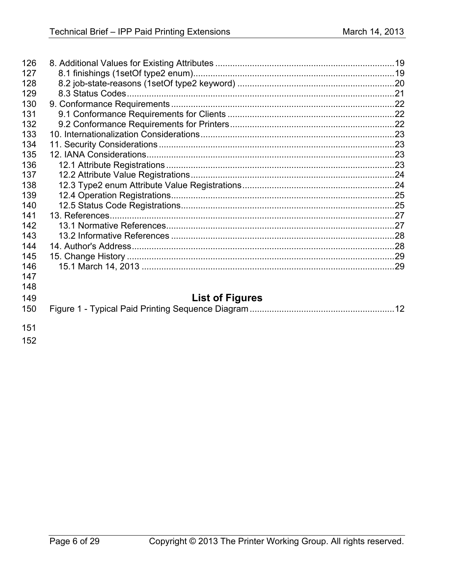| <b>List of Figures</b> |
|------------------------|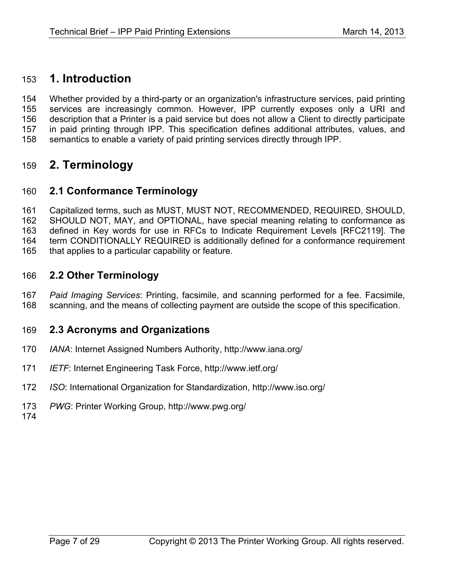# **1. Introduction**

 Whether provided by a third-party or an organization's infrastructure services, paid printing services are increasingly common. However, IPP currently exposes only a URI and description that a Printer is a paid service but does not allow a Client to directly participate in paid printing through IPP. This specification defines additional attributes, values, and semantics to enable a variety of paid printing services directly through IPP.

# **2. Terminology**

# **2.1 Conformance Terminology**

 Capitalized terms, such as MUST, MUST NOT, RECOMMENDED, REQUIRED, SHOULD, SHOULD NOT, MAY, and OPTIONAL, have special meaning relating to conformance as defined in Key words for use in RFCs to Indicate Requirement Levels [RFC2119]. The term CONDITIONALLY REQUIRED is additionally defined for a conformance requirement that applies to a particular capability or feature.

## **2.2 Other Terminology**

 *Paid Imaging Services*: Printing, facsimile, and scanning performed for a fee. Facsimile, scanning, and the means of collecting payment are outside the scope of this specification.

## **2.3 Acronyms and Organizations**

- *IANA*: Internet Assigned Numbers Authority, http://www.iana.org/
- *IETF*: Internet Engineering Task Force, http://www.ietf.org/
- *ISO*: International Organization for Standardization, http://www.iso.org/
- *PWG*: Printer Working Group, http://www.pwg.org/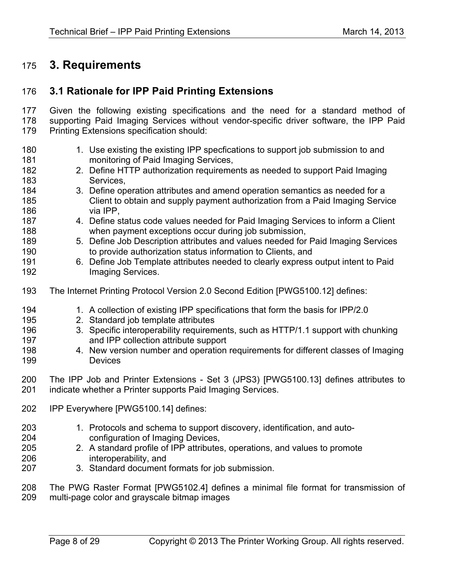# **3. Requirements**

## **3.1 Rationale for IPP Paid Printing Extensions**

 Given the following existing specifications and the need for a standard method of supporting Paid Imaging Services without vendor-specific driver software, the IPP Paid Printing Extensions specification should:

180 180 1. Use existing the existing IPP specfications to support job submission to and monitoring of Paid Imaging Services, 2. Define HTTP authorization requirements as needed to support Paid Imaging **Services**, 3. Define operation attributes and amend operation semantics as needed for a Client to obtain and supply payment authorization from a Paid Imaging Service via IPP, 4. Define status code values needed for Paid Imaging Services to inform a Client when payment exceptions occur during job submission, 5. Define Job Description attributes and values needed for Paid Imaging Services to provide authorization status information to Clients, and 6. Define Job Template attributes needed to clearly express output intent to Paid **Imaging Services.**  The Internet Printing Protocol Version 2.0 Second Edition [PWG5100.12] defines: 1. A collection of existing IPP specifications that form the basis for IPP/2.0 2. Standard job template attributes 3. Specific interoperability requirements, such as HTTP/1.1 support with chunking and IPP collection attribute support 4. New version number and operation requirements for different classes of Imaging Devices The IPP Job and Printer Extensions - Set 3 (JPS3) [PWG5100.13] defines attributes to indicate whether a Printer supports Paid Imaging Services. IPP Everywhere [PWG5100.14] defines: 1. Protocols and schema to support discovery, identification, and auto- configuration of Imaging Devices, 2. A standard profile of IPP attributes, operations, and values to promote interoperability, and 3. Standard document formats for job submission. The PWG Raster Format [PWG5102.4] defines a minimal file format for transmission of multi-page color and grayscale bitmap images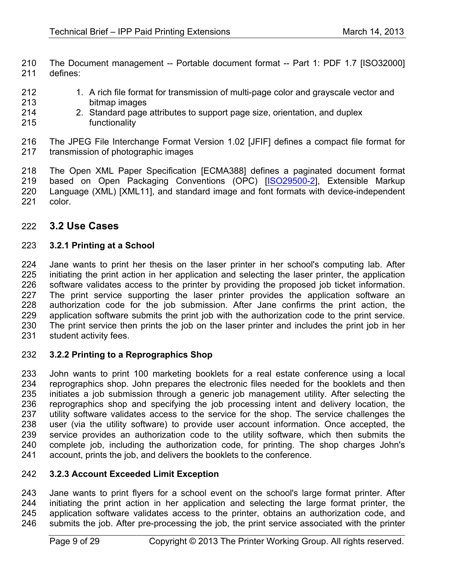210 The Document management -- Portable document format -- Part 1: PDF 1.7 [ISO32000]<br>211 defines: defines:

- 212 1. A rich file format for transmission of multi-page color and grayscale vector and bitmap images
- 2. Standard page attributes to support page size, orientation, and duplex functionality
- The JPEG File Interchange Format Version 1.02 [JFIF] defines a compact file format for transmission of photographic images

 The Open XML Paper Specification [ECMA388] defines a paginated document format 219 based on Open Packaging Conventions (OPC) [ISO29500-2], Extensible Markup Language (XML) [XML11], and standard image and font formats with device-independent color.

# **3.2 Use Cases**

### **3.2.1 Printing at a School**

 Jane wants to print her thesis on the laser printer in her school's computing lab. After initiating the print action in her application and selecting the laser printer, the application software validates access to the printer by providing the proposed job ticket information. 227 The print service supporting the laser printer provides the application software an<br>228 authorization code for the job submission. After Jane confirms the print action, the authorization code for the job submission. After Jane confirms the print action, the application software submits the print job with the authorization code to the print service. The print service then prints the job on the laser printer and includes the print job in her student activity fees.

### **3.2.2 Printing to a Reprographics Shop**

 John wants to print 100 marketing booklets for a real estate conference using a local reprographics shop. John prepares the electronic files needed for the booklets and then initiates a job submission through a generic job management utility. After selecting the reprographics shop and specifying the job processing intent and delivery location, the 237 utility software validates access to the service for the shop. The service challenges the user (via the utility software) to provide user account information. Once accepted, the service provides an authorization code to the utility software, which then submits the complete job, including the authorization code, for printing. The shop charges John's account, prints the job, and delivers the booklets to the conference.

### **3.2.3 Account Exceeded Limit Exception**

 Jane wants to print flyers for a school event on the school's large format printer. After initiating the print action in her application and selecting the large format printer, the 245 application software validates access to the printer, obtains an authorization code, and<br>246 submits the job. After pre-processing the job, the print service associated with the printer submits the job. After pre-processing the job, the print service associated with the printer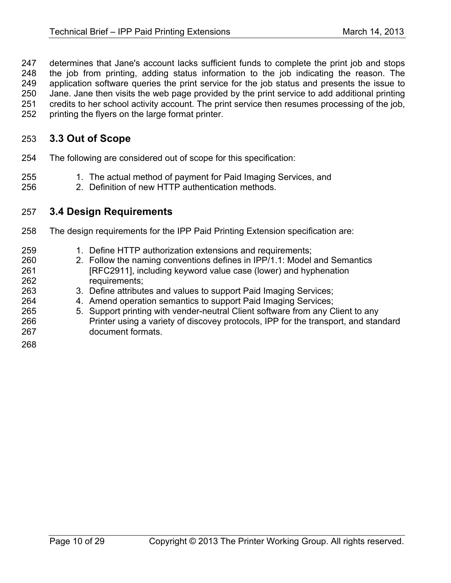determines that Jane's account lacks sufficient funds to complete the print job and stops the job from printing, adding status information to the job indicating the reason. The application software queries the print service for the job status and presents the issue to Jane. Jane then visits the web page provided by the print service to add additional printing credits to her school activity account. The print service then resumes processing of the job, printing the flyers on the large format printer.

# **3.3 Out of Scope**

- The following are considered out of scope for this specification:
- 255 1. The actual method of payment for Paid Imaging Services, and
- 2. Definition of new HTTP authentication methods.

## **3.4 Design Requirements**

- The design requirements for the IPP Paid Printing Extension specification are:
- 259 1. Define HTTP authorization extensions and requirements; 2. Follow the naming conventions defines in IPP/1.1: Model and Semantics [RFC2911], including keyword value case (lower) and hyphenation requirements; 3. Define attributes and values to support Paid Imaging Services; 4. Amend operation semantics to support Paid Imaging Services; 5. Support printing with vender-neutral Client software from any Client to any Printer using a variety of discovey protocols, IPP for the transport, and standard document formats.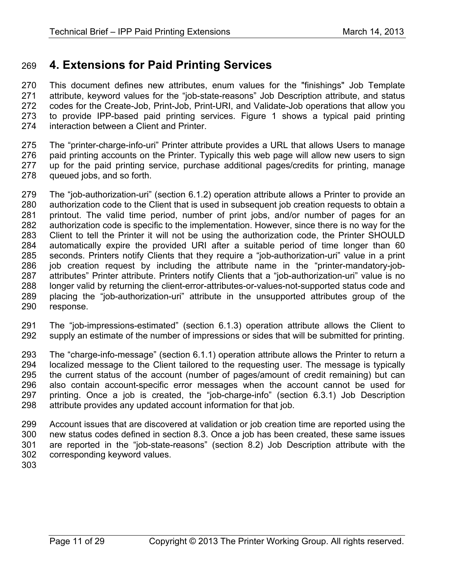# **4. Extensions for Paid Printing Services**

 This document defines new attributes, enum values for the "finishings" Job Template attribute, keyword values for the "job-state-reasons" Job Description attribute, and status codes for the Create-Job, Print-Job, Print-URI, and Validate-Job operations that allow you to provide IPP-based paid printing services. Figure 1 shows a typical paid printing interaction between a Client and Printer.

 The "printer-charge-info-uri" Printer attribute provides a URL that allows Users to manage paid printing accounts on the Printer. Typically this web page will allow new users to sign up for the paid printing service, purchase additional pages/credits for printing, manage queued jobs, and so forth.

279 The "job-authorization-uri" (section 6.1.2) operation attribute allows a Printer to provide an<br>280 authorization code to the Client that is used in subsequent iob creation requests to obtain a authorization code to the Client that is used in subsequent job creation requests to obtain a printout. The valid time period, number of print jobs, and/or number of pages for an authorization code is specific to the implementation. However, since there is no way for the Client to tell the Printer it will not be using the authorization code, the Printer SHOULD automatically expire the provided URI after a suitable period of time longer than 60 seconds. Printers notify Clients that they require a "job-authorization-uri" value in a print job creation request by including the attribute name in the "printer-mandatory-job- attributes" Printer attribute. Printers notify Clients that a "job-authorization-uri" value is no longer valid by returning the client-error-attributes-or-values-not-supported status code and placing the "job-authorization-uri" attribute in the unsupported attributes group of the response.

 The "job-impressions-estimated" (section 6.1.3) operation attribute allows the Client to supply an estimate of the number of impressions or sides that will be submitted for printing.

 The "charge-info-message" (section 6.1.1) operation attribute allows the Printer to return a localized message to the Client tailored to the requesting user. The message is typically the current status of the account (number of pages/amount of credit remaining) but can also contain account-specific error messages when the account cannot be used for printing. Once a job is created, the "job-charge-info" (section 6.3.1) Job Description attribute provides any updated account information for that job.

 Account issues that are discovered at validation or job creation time are reported using the new status codes defined in section 8.3. Once a job has been created, these same issues are reported in the "job-state-reasons" (section 8.2) Job Description attribute with the corresponding keyword values.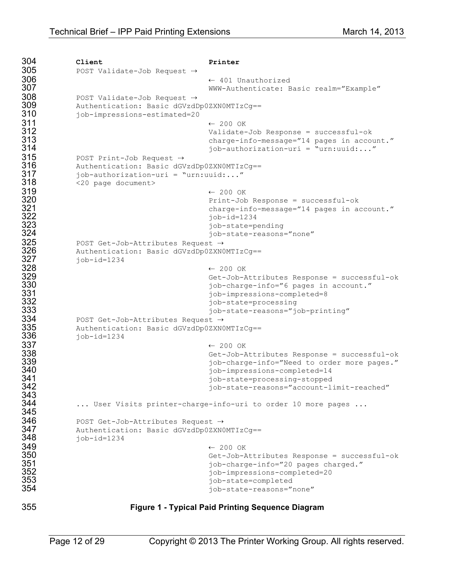```
304 Client Printer
305 POST Validate-Job Request \rightarrow306 ⇠ 401 Unauthorized
307 WWW-Authenticate: Basic realm="Example"<br>308 POST Validate-Job Request ->
308 POST Validate-Job Request ⇢
309 Authentication: Basic dGVzdDp0ZXN0MTIzCg==
310 job-impressions-estimated=20
311 ⇠ 200 OK
312 Validate-Job Response = successful-ok
313 charge-info-message="14 pages in account."
                             job-authorization-uri = "urn:uuid:..."315 POST Print-Job Request →><br>316 Muthentication: Basic dGV
316 Authentication: Basic dGVzdDp0ZXNOMTIzCg==<br>317    iob-authorization-uri = "urn:uuid:..."
317 job-authorization-uri = "urn:uuid:..."
318 <20 page document><br>319
319 ⇠ 200 OK
320 Print-Job Response = successful-ok
321 charge-info-message="14 pages in account."
322 job-id=1234
323 job-state=pending
324 job-state-reasons="none"
325 POST Get-Job-Attributes Request →→<br>326 Authentication: Basic dGVzdDp0ZXNO
326 Authentication: Basic dGVzdDp0ZXN0MTIzCg==
327 job-id=1234<br>328
328 ⇠ 200 OK
329 Get-Job-Attributes Response = successful-ok
330 job-charge-info="6 pages in account."
331 job-impressions-completed=8
332 job-state=processing
                             job-state-reasons="job-printing"
334 POST Get-Job-Attributes Request →><br>335 Authentication: Basic dGVzdDp0ZXN
335 Authentication: Basic dGVzdDp0ZXN0MTIzCg==
336 job-id=1234<br>337
337 ⇠ 200 OK
338 Get-Job-Attributes Response = successful-ok
339 job-charge-info="Need to order more pages."
340 job-impressions-completed=14
341 job-state=processing-stopped
                             job-state-reasons="account-limit-reached"
343<br>344
        ... User Visits printer-charge-info-uri to order 10 more pages ...
345
346 POST Get-Job-Attributes Request →><br>347 Authentication: Basic dGVzdDp0ZXN
347 Authentication: Basic dGVzdDp0ZXN0MTIzCg==
348 job-id=1234<br>349
349 ⇠ 200 OK
350 Get-Job-Attributes Response = successful-ok
351 job-charge-info="20 pages charged."
352 job-impressions-completed=20
353 job-state=completed
                             job-state-reasons="none"
```
#### **Figure 1 - Typical Paid Printing Sequence Diagram**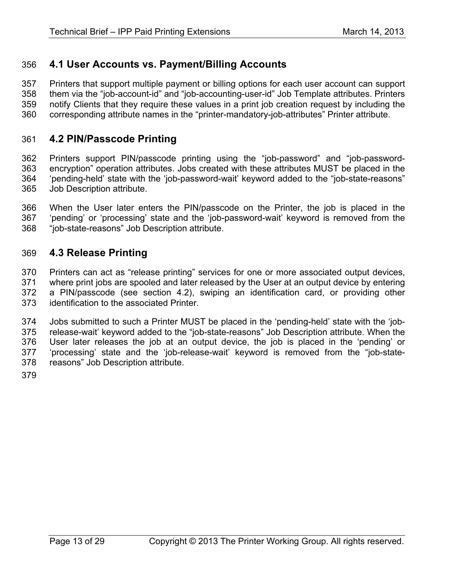# **4.1 User Accounts vs. Payment/Billing Accounts**

 Printers that support multiple payment or billing options for each user account can support them via the "job-account-id" and "job-accounting-user-id" Job Template attributes. Printers notify Clients that they require these values in a print job creation request by including the corresponding attribute names in the "printer-mandatory-job-attributes" Printer attribute.

## **4.2 PIN/Passcode Printing**

 Printers support PIN/passcode printing using the "job-password" and "job-password- encryption" operation attributes. Jobs created with these attributes MUST be placed in the 'pending-held' state with the 'job-password-wait' keyword added to the "job-state-reasons" Job Description attribute.

 When the User later enters the PIN/passcode on the Printer, the job is placed in the 'pending' or 'processing' state and the 'job-password-wait' keyword is removed from the "job-state-reasons" Job Description attribute.

## **4.3 Release Printing**

 Printers can act as "release printing" services for one or more associated output devices, where print jobs are spooled and later released by the User at an output device by entering a PIN/passcode (see section 4.2), swiping an identification card, or providing other identification to the associated Printer.

 Jobs submitted to such a Printer MUST be placed in the 'pending-held' state with the 'job- release-wait' keyword added to the "job-state-reasons" Job Description attribute. When the User later releases the job at an output device, the job is placed in the 'pending' or 'processing' state and the 'job-release-wait' keyword is removed from the "job-state-reasons" Job Description attribute.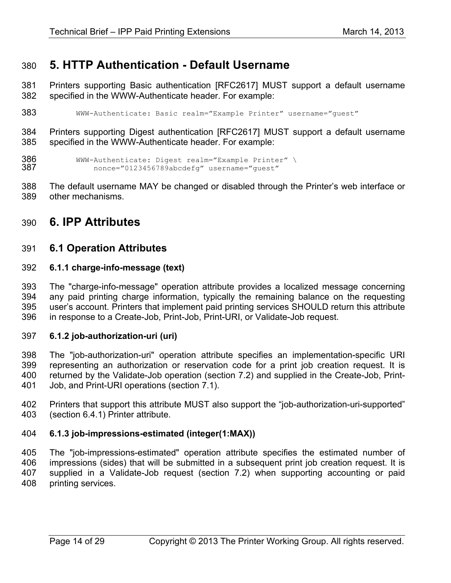# **5. HTTP Authentication - Default Username**

 Printers supporting Basic authentication [RFC2617] MUST support a default username specified in the WWW-Authenticate header. For example:

```
383 WWW-Authenticate: Basic realm="Example Printer" username="guest"
```
 Printers supporting Digest authentication [RFC2617] MUST support a default username specified in the WWW-Authenticate header. For example:

```
386 WWW-Authenticate: Digest realm="Example Printer" \
               nonce="0123456789abcdefg" username="guest"
```
 The default username MAY be changed or disabled through the Printer's web interface or other mechanisms.

# **6. IPP Attributes**

## **6.1 Operation Attributes**

#### **6.1.1 charge-info-message (text)**

 The "charge-info-message" operation attribute provides a localized message concerning any paid printing charge information, typically the remaining balance on the requesting user's account. Printers that implement paid printing services SHOULD return this attribute in response to a Create-Job, Print-Job, Print-URI, or Validate-Job request.

### **6.1.2 job-authorization-uri (uri)**

 The "job-authorization-uri" operation attribute specifies an implementation-specific URI representing an authorization or reservation code for a print job creation request. It is returned by the Validate-Job operation (section 7.2) and supplied in the Create-Job, Print-Job, and Print-URI operations (section 7.1).

 Printers that support this attribute MUST also support the "job-authorization-uri-supported" (section 6.4.1) Printer attribute.

### **6.1.3 job-impressions-estimated (integer(1:MAX))**

 The "job-impressions-estimated" operation attribute specifies the estimated number of impressions (sides) that will be submitted in a subsequent print job creation request. It is supplied in a Validate-Job request (section 7.2) when supporting accounting or paid printing services.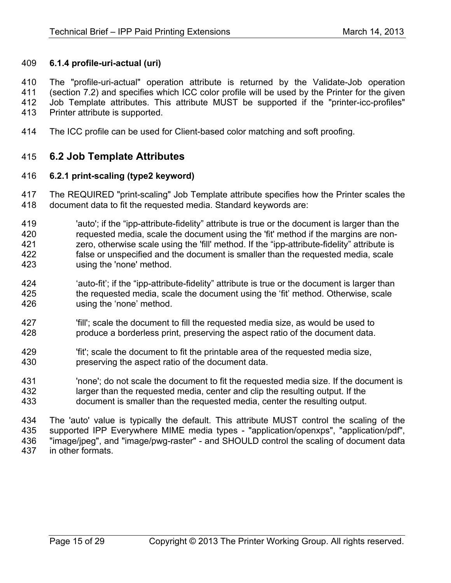### **6.1.4 profile-uri-actual (uri)**

 The "profile-uri-actual" operation attribute is returned by the Validate-Job operation (section 7.2) and specifies which ICC color profile will be used by the Printer for the given Job Template attributes. This attribute MUST be supported if the "printer-icc-profiles" Printer attribute is supported.

The ICC profile can be used for Client-based color matching and soft proofing.

## **6.2 Job Template Attributes**

#### **6.2.1 print-scaling (type2 keyword)**

 The REQUIRED "print-scaling" Job Template attribute specifies how the Printer scales the document data to fit the requested media. Standard keywords are:

- 'auto'; if the "ipp-attribute-fidelity" attribute is true or the document is larger than the requested media, scale the document using the 'fit' method if the margins are non- zero, otherwise scale using the 'fill' method. If the "ipp-attribute-fidelity" attribute is false or unspecified and the document is smaller than the requested media, scale using the 'none' method.
- 'auto-fit'; if the "ipp-attribute-fidelity" attribute is true or the document is larger than the requested media, scale the document using the 'fit' method. Otherwise, scale using the 'none' method.
- 'fill'; scale the document to fill the requested media size, as would be used to produce a borderless print, preserving the aspect ratio of the document data.
- 'fit'; scale the document to fit the printable area of the requested media size, preserving the aspect ratio of the document data.
- 'none'; do not scale the document to fit the requested media size. If the document is larger than the requested media, center and clip the resulting output. If the document is smaller than the requested media, center the resulting output.
- The 'auto' value is typically the default. This attribute MUST control the scaling of the supported IPP Everywhere MIME media types - "application/openxps", "application/pdf", 436 "image/jpeg", and "image/pwg-raster" - and SHOULD control the scaling of document data<br>437 in other formats. in other formats.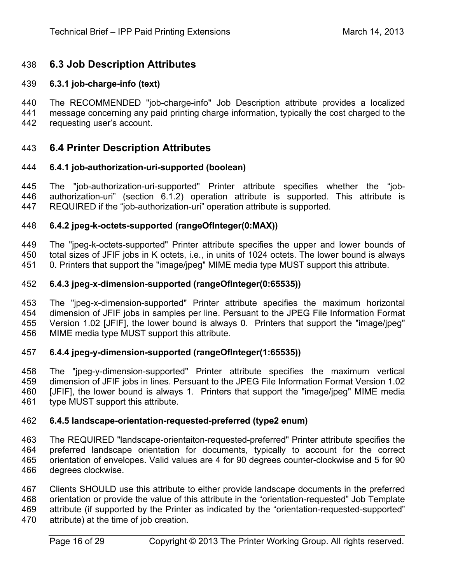# **6.3 Job Description Attributes**

### **6.3.1 job-charge-info (text)**

 The RECOMMENDED "job-charge-info" Job Description attribute provides a localized message concerning any paid printing charge information, typically the cost charged to the requesting user's account.

### **6.4 Printer Description Attributes**

#### **6.4.1 job-authorization-uri-supported (boolean)**

 The "job-authorization-uri-supported" Printer attribute specifies whether the "job- authorization-uri" (section 6.1.2) operation attribute is supported. This attribute is REQUIRED if the "job-authorization-uri" operation attribute is supported.

#### **6.4.2 jpeg-k-octets-supported (rangeOfInteger(0:MAX))**

 The "jpeg-k-octets-supported" Printer attribute specifies the upper and lower bounds of total sizes of JFIF jobs in K octets, i.e., in units of 1024 octets. The lower bound is always 0. Printers that support the "image/jpeg" MIME media type MUST support this attribute.

#### **6.4.3 jpeg-x-dimension-supported (rangeOfInteger(0:65535))**

 The "jpeg-x-dimension-supported" Printer attribute specifies the maximum horizontal dimension of JFIF jobs in samples per line. Persuant to the JPEG File Information Format Version 1.02 [JFIF], the lower bound is always 0. Printers that support the "image/jpeg" MIME media type MUST support this attribute.

### **6.4.4 jpeg-y-dimension-supported (rangeOfInteger(1:65535))**

458 The "jpeg-y-dimension-supported" Printer attribute specifies the maximum vertical<br>459 dimension of JFIF iobs in lines Persuant to the JPEG File Information Format Version 1.02 dimension of JFIF jobs in lines. Persuant to the JPEG File Information Format Version 1.02 [JFIF], the lower bound is always 1. Printers that support the "image/jpeg" MIME media type MUST support this attribute.

#### **6.4.5 landscape-orientation-requested-preferred (type2 enum)**

 The REQUIRED "landscape-orientaiton-requested-preferred" Printer attribute specifies the preferred landscape orientation for documents, typically to account for the correct orientation of envelopes. Valid values are 4 for 90 degrees counter-clockwise and 5 for 90 degrees clockwise.

 Clients SHOULD use this attribute to either provide landscape documents in the preferred orientation or provide the value of this attribute in the "orientation-requested" Job Template attribute (if supported by the Printer as indicated by the "orientation-requested-supported" attribute) at the time of job creation.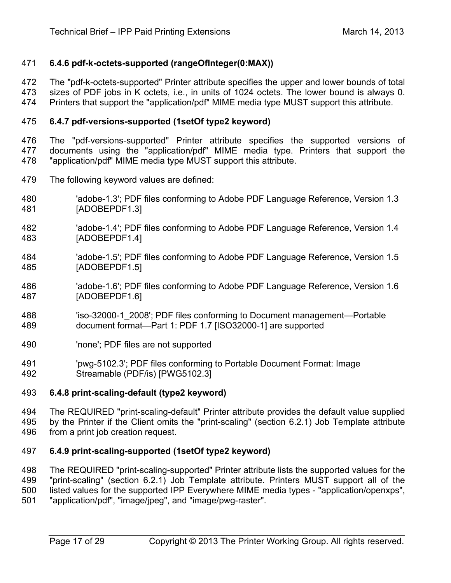### **6.4.6 pdf-k-octets-supported (rangeOfInteger(0:MAX))**

The "pdf-k-octets-supported" Printer attribute specifies the upper and lower bounds of total

 sizes of PDF jobs in K octets, i.e., in units of 1024 octets. The lower bound is always 0. Printers that support the "application/pdf" MIME media type MUST support this attribute.

## **6.4.7 pdf-versions-supported (1setOf type2 keyword)**

 The "pdf-versions-supported" Printer attribute specifies the supported versions of documents using the "application/pdf" MIME media type. Printers that support the "application/pdf" MIME media type MUST support this attribute.

- The following keyword values are defined:
- 'adobe-1.3'; PDF files conforming to Adobe PDF Language Reference, Version 1.3 [ADOBEPDF1.3]
- 'adobe-1.4'; PDF files conforming to Adobe PDF Language Reference, Version 1.4 [ADOBEPDF1.4]
- 'adobe-1.5'; PDF files conforming to Adobe PDF Language Reference, Version 1.5 [ADOBEPDF1.5]
- 'adobe-1.6'; PDF files conforming to Adobe PDF Language Reference, Version 1.6 [ADOBEPDF1.6]
- 'iso-32000-1\_2008'; PDF files conforming to Document management—Portable document format—Part 1: PDF 1.7 [ISO32000-1] are supported
- 'none'; PDF files are not supported
- 491 'pwg-5102.3'; PDF files conforming to Portable Document Format: Image<br>492 Streamable (PDF/is) IPWG5102.31 Streamable (PDF/is) [PWG5102.3]

### **6.4.8 print-scaling-default (type2 keyword)**

 The REQUIRED "print-scaling-default" Printer attribute provides the default value supplied by the Printer if the Client omits the "print-scaling" (section 6.2.1) Job Template attribute from a print job creation request.

### **6.4.9 print-scaling-supported (1setOf type2 keyword)**

 The REQUIRED "print-scaling-supported" Printer attribute lists the supported values for the "print-scaling" (section 6.2.1) Job Template attribute. Printers MUST support all of the listed values for the supported IPP Everywhere MIME media types - "application/openxps", "application/pdf", "image/jpeg", and "image/pwg-raster".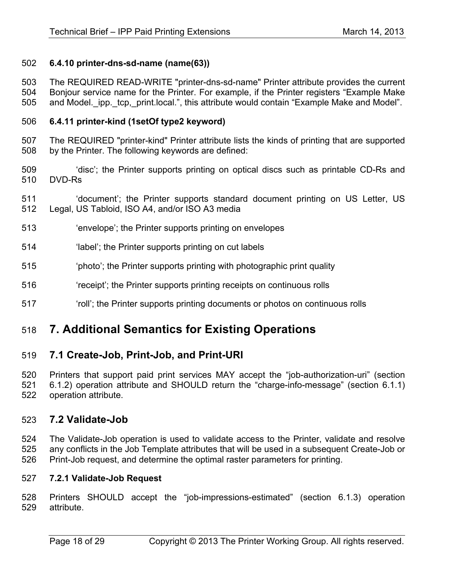### **6.4.10 printer-dns-sd-name (name(63))**

 The REQUIRED READ-WRITE "printer-dns-sd-name" Printer attribute provides the current Bonjour service name for the Printer. For example, if the Printer registers "Example Make 505 and Model. ipp. tcp, print.local.", this attribute would contain "Example Make and Model".

### **6.4.11 printer-kind (1setOf type2 keyword)**

 The REQUIRED "printer-kind" Printer attribute lists the kinds of printing that are supported by the Printer. The following keywords are defined:

- 'disc'; the Printer supports printing on optical discs such as printable CD-Rs and DVD-Rs
- 'document'; the Printer supports standard document printing on US Letter, US Legal, US Tabloid, ISO A4, and/or ISO A3 media
- 'envelope'; the Printer supports printing on envelopes
- 'label'; the Printer supports printing on cut labels
- 'photo'; the Printer supports printing with photographic print quality
- 'receipt'; the Printer supports printing receipts on continuous rolls
- 'roll'; the Printer supports printing documents or photos on continuous rolls

# **7. Additional Semantics for Existing Operations**

## **7.1 Create-Job, Print-Job, and Print-URI**

Printers that support paid print services MAY accept the "job-authorization-uri" (section

 6.1.2) operation attribute and SHOULD return the "charge-info-message" (section 6.1.1) operation attribute.

## **7.2 Validate-Job**

 The Validate-Job operation is used to validate access to the Printer, validate and resolve any conflicts in the Job Template attributes that will be used in a subsequent Create-Job or Print-Job request, and determine the optimal raster parameters for printing.

### **7.2.1 Validate-Job Request**

 Printers SHOULD accept the "job-impressions-estimated" (section 6.1.3) operation attribute.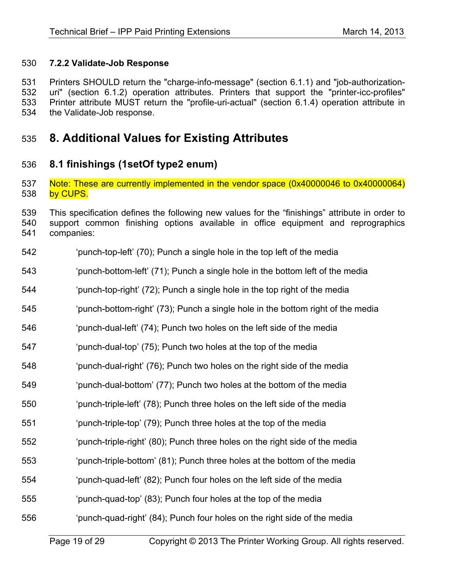### **7.2.2 Validate-Job Response**

 Printers SHOULD return the "charge-info-message" (section 6.1.1) and "job-authorization- uri" (section 6.1.2) operation attributes. Printers that support the "printer-icc-profiles" Printer attribute MUST return the "profile-uri-actual" (section 6.1.4) operation attribute in the Validate-Job response.

# **8. Additional Values for Existing Attributes**

## **8.1 finishings (1setOf type2 enum)**

 Note: These are currently implemented in the vendor space (0x40000046 to 0x40000064) 538 by CUPS.

 This specification defines the following new values for the "finishings" attribute in order to support common finishing options available in office equipment and reprographics companies:

- 'punch-top-left' (70); Punch a single hole in the top left of the media
- 'punch-bottom-left' (71); Punch a single hole in the bottom left of the media
- 'punch-top-right' (72); Punch a single hole in the top right of the media
- 'punch-bottom-right' (73); Punch a single hole in the bottom right of the media
- 'punch-dual-left' (74); Punch two holes on the left side of the media
- 'punch-dual-top' (75); Punch two holes at the top of the media
- 'punch-dual-right' (76); Punch two holes on the right side of the media
- 'punch-dual-bottom' (77); Punch two holes at the bottom of the media
- 'punch-triple-left' (78); Punch three holes on the left side of the media
- 'punch-triple-top' (79); Punch three holes at the top of the media
- 'punch-triple-right' (80); Punch three holes on the right side of the media
- 'punch-triple-bottom' (81); Punch three holes at the bottom of the media
- 'punch-quad-left' (82); Punch four holes on the left side of the media
- 'punch-quad-top' (83); Punch four holes at the top of the media
- 'punch-quad-right' (84); Punch four holes on the right side of the media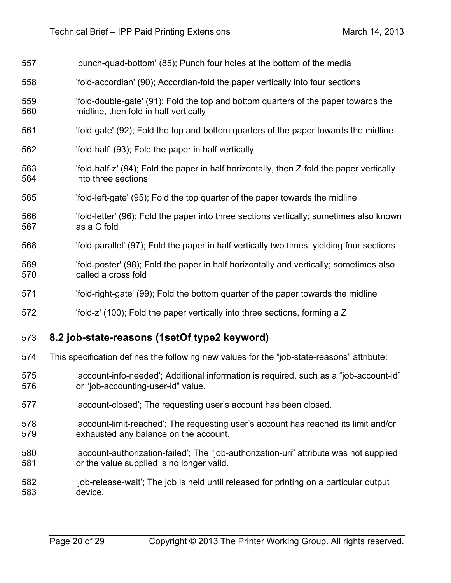| 557        | 'punch-quad-bottom' (85); Punch four holes at the bottom of the media                                                               |
|------------|-------------------------------------------------------------------------------------------------------------------------------------|
| 558        | 'fold-accordian' (90); Accordian-fold the paper vertically into four sections                                                       |
| 559<br>560 | 'fold-double-gate' (91); Fold the top and bottom quarters of the paper towards the<br>midline, then fold in half vertically         |
| 561        | 'fold-gate' (92); Fold the top and bottom quarters of the paper towards the midline                                                 |
| 562        | 'fold-half' (93); Fold the paper in half vertically                                                                                 |
| 563<br>564 | 'fold-half-z' (94); Fold the paper in half horizontally, then Z-fold the paper vertically<br>into three sections                    |
| 565        | 'fold-left-gate' (95); Fold the top quarter of the paper towards the midline                                                        |
| 566<br>567 | 'fold-letter' (96); Fold the paper into three sections vertically; sometimes also known<br>as a C fold                              |
| 568        | 'fold-parallel' (97); Fold the paper in half vertically two times, yielding four sections                                           |
| 569<br>570 | 'fold-poster' (98); Fold the paper in half horizontally and vertically; sometimes also<br>called a cross fold                       |
| 571        | 'fold-right-gate' (99), Fold the bottom quarter of the paper towards the midline                                                    |
| 572        | 'fold-z' (100); Fold the paper vertically into three sections, forming a Z                                                          |
| 573        | 8.2 job-state-reasons (1setOf type2 keyword)                                                                                        |
| 574        | This specification defines the following new values for the "job-state-reasons" attribute:                                          |
| 575<br>576 | 'account-info-needed'; Additional information is required, such as a "job-account-id"<br>or "job-accounting-user-id" value.         |
| 577        | 'account-closed'; The requesting user's account has been closed.                                                                    |
| 578<br>579 | 'account-limit-reached'; The requesting user's account has reached its limit and/or<br>exhausted any balance on the account.        |
| 580<br>581 | 'account-authorization-failed'; The "job-authorization-uri" attribute was not supplied<br>or the value supplied is no longer valid. |
| 582<br>583 | 'job-release-wait'; The job is held until released for printing on a particular output<br>device.                                   |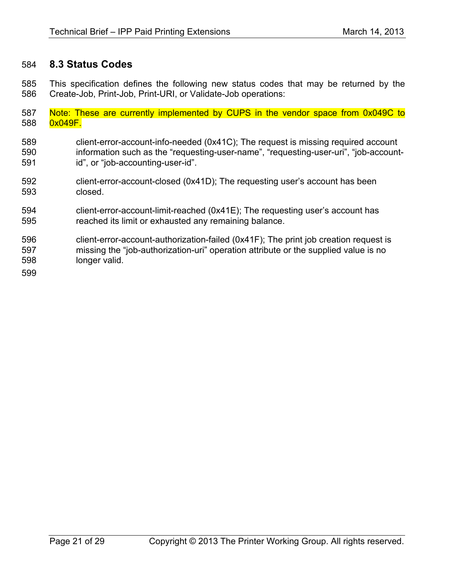# **8.3 Status Codes**

 This specification defines the following new status codes that may be returned by the Create-Job, Print-Job, Print-URI, or Validate-Job operations:

- Note: These are currently implemented by CUPS in the vendor space from 0x049C to 588 0x049F.
- client-error-account-info-needed (0x41C); The request is missing required account information such as the "requesting-user-name", "requesting-user-uri", "job-account-id", or "job-accounting-user-id".
- client-error-account-closed (0x41D); The requesting user's account has been closed.
- client-error-account-limit-reached (0x41E); The requesting user's account has reached its limit or exhausted any remaining balance.
- client-error-account-authorization-failed (0x41F); The print job creation request is missing the "job-authorization-uri" operation attribute or the supplied value is no longer valid.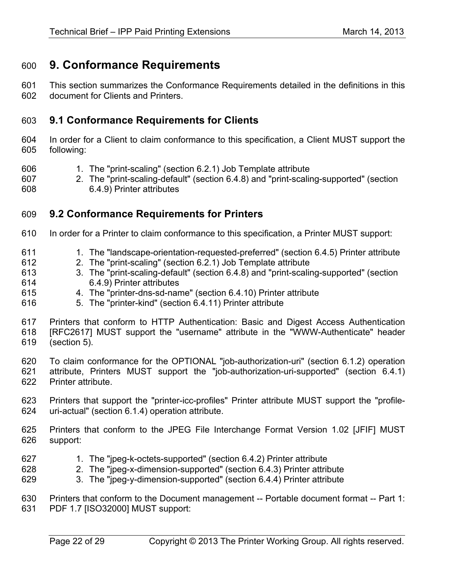# **9. Conformance Requirements**

 This section summarizes the Conformance Requirements detailed in the definitions in this document for Clients and Printers.

# **9.1 Conformance Requirements for Clients**

 In order for a Client to claim conformance to this specification, a Client MUST support the following:

1. The "print-scaling" (section 6.2.1) Job Template attribute

 2. The "print-scaling-default" (section 6.4.8) and "print-scaling-supported" (section 6.4.9) Printer attributes

# **9.2 Conformance Requirements for Printers**

- In order for a Printer to claim conformance to this specification, a Printer MUST support:
- 1. The "landscape-orientation-requested-preferred" (section 6.4.5) Printer attribute
- 2. The "print-scaling" (section 6.2.1) Job Template attribute
- 3. The "print-scaling-default" (section 6.4.8) and "print-scaling-supported" (section 6.4.9) Printer attributes
- 4. The "printer-dns-sd-name" (section 6.4.10) Printer attribute
- 5. The "printer-kind" (section 6.4.11) Printer attribute

 Printers that conform to HTTP Authentication: Basic and Digest Access Authentication [RFC2617] MUST support the "username" attribute in the "WWW-Authenticate" header (section 5).

 To claim conformance for the OPTIONAL "job-authorization-uri" (section 6.1.2) operation attribute, Printers MUST support the "job-authorization-uri-supported" (section 6.4.1) Printer attribute.

- Printers that support the "printer-icc-profiles" Printer attribute MUST support the "profile-uri-actual" (section 6.1.4) operation attribute.
- Printers that conform to the JPEG File Interchange Format Version 1.02 [JFIF] MUST support:
- 1. The "jpeg-k-octets-supported" (section 6.4.2) Printer attribute
- 2. The "jpeg-x-dimension-supported" (section 6.4.3) Printer attribute
- 3. The "jpeg-y-dimension-supported" (section 6.4.4) Printer attribute

 Printers that conform to the Document management -- Portable document format -- Part 1: PDF 1.7 [ISO32000] MUST support: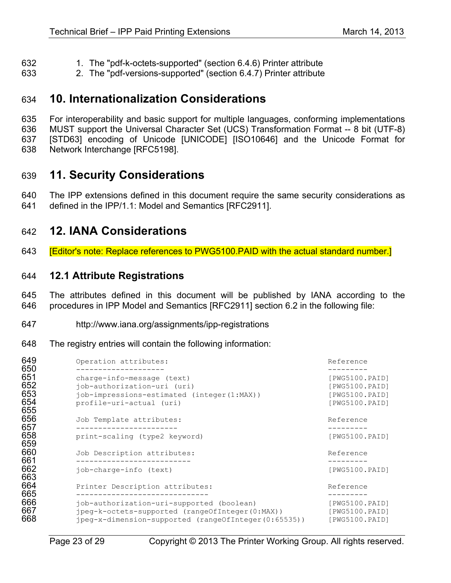- 1. The "pdf-k-octets-supported" (section 6.4.6) Printer attribute
- 2. The "pdf-versions-supported" (section 6.4.7) Printer attribute

# **10. Internationalization Considerations**

 For interoperability and basic support for multiple languages, conforming implementations MUST support the Universal Character Set (UCS) Transformation Format -- 8 bit (UTF-8) [STD63] encoding of Unicode [UNICODE] [ISO10646] and the Unicode Format for Network Interchange [RFC5198].

# **11. Security Considerations**

 The IPP extensions defined in this document require the same security considerations as defined in the IPP/1.1: Model and Semantics [RFC2911].

# **12. IANA Considerations**

[Editor's note: Replace references to PWG5100.PAID with the actual standard number.]

## **12.1 Attribute Registrations**

 The attributes defined in this document will be published by IANA according to the procedures in IPP Model and Semantics [RFC2911] section 6.2 in the following file:

- http://www.iana.org/assignments/ipp-registrations
- The registry entries will contain the following information:

| 649<br>650                      | Operation attributes:                                                                                                                                | Reference                                                            |
|---------------------------------|------------------------------------------------------------------------------------------------------------------------------------------------------|----------------------------------------------------------------------|
| 651<br>652<br>653<br>654<br>655 | charge-info-message (text)<br>job-authorization-uri (uri)<br>job-impressions-estimated (integer(1:MAX))<br>profile-uri-actual (uri)                  | [PWG5100.PAID]<br>[PWG5100.PAID]<br>[PWG5100.PAID]<br>[PWG5100.PAID] |
| 656<br>657                      | Job Template attributes:                                                                                                                             | Reference                                                            |
| 658<br>659                      | print-scaling (type2 keyword)                                                                                                                        | [PWG5100.PAID]                                                       |
| 660<br>661                      | Job Description attributes:                                                                                                                          | Reference                                                            |
| 662<br>663                      | job-charge-info (text)                                                                                                                               | [PWG5100.PAID]                                                       |
| 664<br>665                      | Printer Description attributes:                                                                                                                      | Reference                                                            |
| 666<br>667<br>668               | job-authorization-uri-supported (boolean)<br>jpeg-k-octets-supported (rangeOfInteger(0:MAX))<br>jpeg-x-dimension-supported (rangeOfInteger(0:65535)) | [PWG5100.PAID]<br>[PWG5100.PAID]<br>[PWG5100.PAID]                   |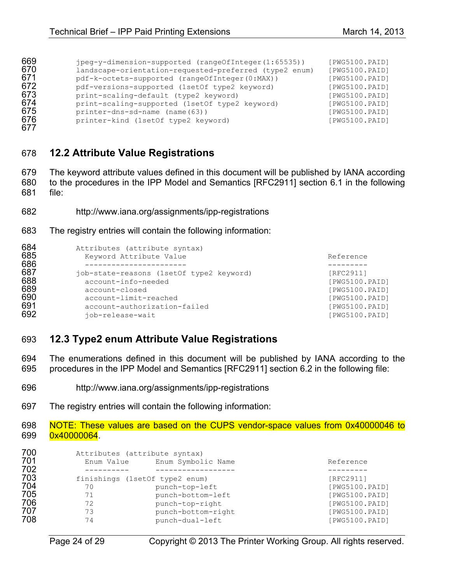| 669 | jpeg-y-dimension-supported (rangeOfInteger(1:65535))   | [PWG5100.PAID] |
|-----|--------------------------------------------------------|----------------|
| 670 | landscape-orientation-requested-preferred (type2 enum) | [PWG5100.PAID] |
| 671 | pdf-k-octets-supported (rangeOfInteger(0:MAX))         | [PWG5100.PAID] |
| 672 | pdf-versions-supported (1setOf type2 keyword)          | [PWG5100.PAID] |
| 673 | print-scaling-default (type2 keyword)                  | [PWG5100.PAID] |
| 674 | print-scaling-supported (1setOf type2 keyword)         | [PWG5100.PAID] |
| 675 | printer-dns-sd-name (name(63))                         | [PWG5100.PAID] |
| 676 | printer-kind (1setOf type2 keyword)                    | [PWG5100.PAID] |
|     |                                                        |                |

# **12.2 Attribute Value Registrations**

 The keyword attribute values defined in this document will be published by IANA according to the procedures in the IPP Model and Semantics [RFC2911] section 6.1 in the following file:

- http://www.iana.org/assignments/ipp-registrations
- The registry entries will contain the following information:

| 684<br>685<br>686 | Attributes (attribute syntax)<br>Keyword Attribute Value | Reference      |
|-------------------|----------------------------------------------------------|----------------|
| 687               | job-state-reasons (1set of type 2 keyword)               | [RFC2911]      |
| 688               | account-info-needed                                      | [PWG5100.PAID] |
| 689               | account-closed                                           | [PWG5100.PAID] |
| 690               | account-limit-reached                                    | [PWG5100.PAID] |
| 691               | account-authorization-failed                             | [PWG5100.PAID] |
| 692               | iob-release-wait                                         | [PWG5100.PAID] |

## **12.3 Type2 enum Attribute Value Registrations**

 The enumerations defined in this document will be published by IANA according to the procedures in the IPP Model and Semantics [RFC2911] section 6.2 in the following file:

- http://www.iana.org/assignments/ipp-registrations
- The registry entries will contain the following information:

 NOTE: These values are based on the CUPS vendor-space values from 0x40000046 to 699 0x40000064.

| 700<br>701 | Attributes (attribute syntax)<br>Enum Value | Enum Symbolic Name | Reference      |
|------------|---------------------------------------------|--------------------|----------------|
| 702        |                                             |                    |                |
| 703        | finishings (1set of type 2 enum)            |                    | [RFC2911]      |
| 704        | 70                                          | punch-top-left     | [PWG5100.PAID] |
| 705        | 71                                          | punch-bottom-left  | [PWG5100.PAID] |
| 706        | 72                                          | punch-top-right    | [PWG5100.PAID] |
| 707        | 73                                          | punch-bottom-right | [PWG5100.PAID] |
| 708        | 74                                          | punch-dual-left    | [PWG5100.PAID] |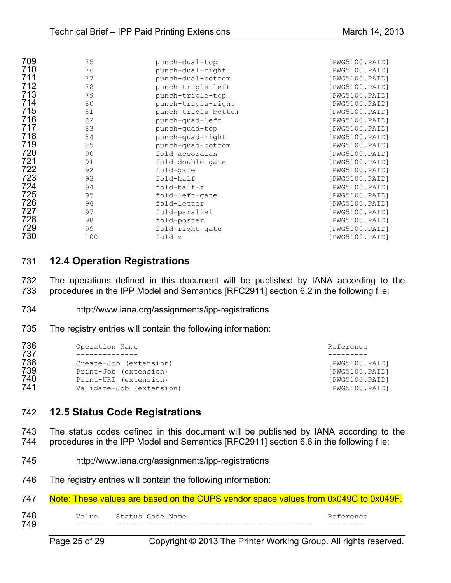| 709 | 75  | punch-dual-top      | [PWG5100.PAID] |
|-----|-----|---------------------|----------------|
| 710 | 76  | punch-dual-right    | [PWG5100.PAID] |
| 711 | 77  | punch-dual-bottom   | [PWG5100.PAID] |
| 712 | 78  | punch-triple-left   | [PWG5100.PAID] |
| 713 | 79  | punch-triple-top    | [PWG5100.PAID] |
| 714 | 80  | punch-triple-right  | [PWG5100.PAID] |
| 715 | 81  | punch-triple-bottom | [PWG5100.PAID] |
| 716 | 82  | punch-quad-left     | [PWG5100.PAID] |
| 717 | 83  | punch-quad-top      | [PWG5100.PAID] |
| 718 | 84  | punch-quad-right    | [PWG5100.PAID] |
| 719 | 85  | punch-quad-bottom   | [PWG5100.PAID] |
| 720 | 90  | fold-accordian      | [PWG5100.PAID] |
| 721 | 91  | fold-double-gate    | [PWG5100.PAID] |
| 722 | 92  | fold-gate           | [PWG5100.PAID] |
| 723 | 93  | fold-half           | [PWG5100.PAID] |
| 724 | 94  | fold-half-z         | [PWG5100.PAID] |
| 725 | 95  | fold-left-gate      | [PWG5100.PAID] |
| 726 | 96  | fold-letter         | [PWG5100.PAID] |
| 727 | 97  | fold-parallel       | [PWG5100.PAID] |
| 728 | 98  | fold-poster         | [PWG5100.PAID] |
| 729 | 99  | fold-right-gate     | [PWG5100.PAID] |
| 730 | 100 | fold-z              | [PWG5100.PAID] |

## **12.4 Operation Registrations**

 The operations defined in this document will be published by IANA according to the procedures in the IPP Model and Semantics [RFC2911] section 6.2 in the following file:

- http://www.iana.org/assignments/ipp-registrations
- The registry entries will contain the following information:

| 736<br>737 | Operation Name           | Reference      |
|------------|--------------------------|----------------|
| 738        | Create-Job (extension)   | [PWG5100.PAID] |
| 739        | Print-Job (extension)    | [PWG5100.PAID] |
| 740        | Print-URI (extension)    | [PWG5100.PAID] |
| 741        | Validate-Job (extension) | [PWG5100.PAID] |

## **12.5 Status Code Registrations**

 The status codes defined in this document will be published by IANA according to the procedures in the IPP Model and Semantics [RFC2911] section 6.6 in the following file:

- http://www.iana.org/assignments/ipp-registrations
- The registry entries will contain the following information:

| 749 |                                                                                     |  |           |  |
|-----|-------------------------------------------------------------------------------------|--|-----------|--|
| 748 | Value Status Code Name                                                              |  | Reference |  |
| 747 | Note: These values are based on the CUPS vendor space values from 0x049C to 0x049F. |  |           |  |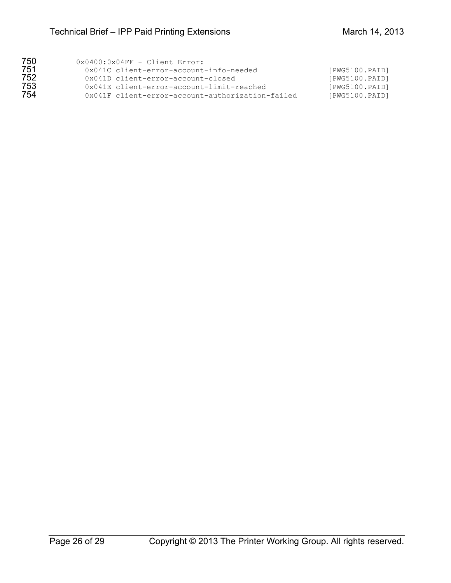| 750 | $0 \times 0400 : 0 \times 04$ FF - Client Error:   |                |
|-----|----------------------------------------------------|----------------|
| 751 | 0x041C client-error-account-info-needed            | [PWG5100.PAID] |
| 752 | 0x041D client-error-account-closed                 | [PWG5100.PAID] |
| 753 | $0 \times 041E$ client-error-account-limit-reached | [PWG5100.PAID] |
| 754 | 0x041F client-error-account-authorization-failed   | [PWG5100.PAID] |
|     |                                                    |                |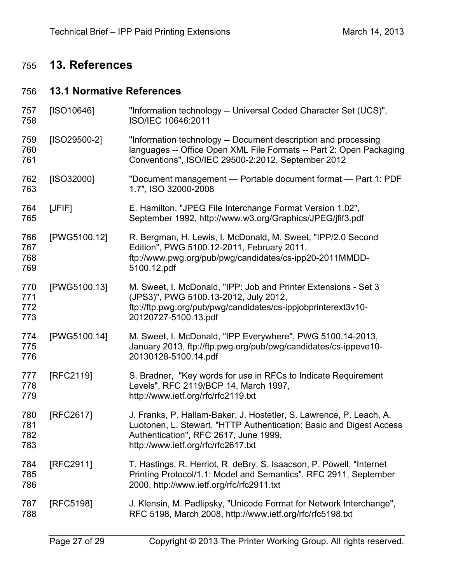# **13. References**

# **13.1 Normative References**

| 757<br>758               | [ SO10646]   | "Information technology -- Universal Coded Character Set (UCS)",<br>ISO/IEC 10646:2011                                                                                                                                     |
|--------------------------|--------------|----------------------------------------------------------------------------------------------------------------------------------------------------------------------------------------------------------------------------|
| 759<br>760<br>761        | [ISO29500-2] | "Information technology -- Document description and processing<br>languages -- Office Open XML File Formats -- Part 2: Open Packaging<br>Conventions", ISO/IEC 29500-2:2012, September 2012                                |
| 762<br>763               | [ISO32000]   | "Document management - Portable document format - Part 1: PDF<br>1.7", ISO 32000-2008                                                                                                                                      |
| 764<br>765               | [JFIF]       | E. Hamilton, "JPEG File Interchange Format Version 1.02",<br>September 1992, http://www.w3.org/Graphics/JPEG/jfif3.pdf                                                                                                     |
| 766<br>767<br>768<br>769 | [PWG5100.12] | R. Bergman, H. Lewis, I. McDonald, M. Sweet, "IPP/2.0 Second<br>Edition", PWG 5100.12-2011, February 2011,<br>ftp://www.pwg.org/pub/pwg/candidates/cs-ipp20-2011MMDD-<br>5100.12.pdf                                       |
| 770<br>771<br>772<br>773 | [PWG5100.13] | M. Sweet, I. McDonald, "IPP: Job and Printer Extensions - Set 3<br>(JPS3)", PWG 5100.13-2012, July 2012,<br>ftp://ftp.pwg.org/pub/pwg/candidates/cs-ippjobprinterext3v10-<br>20120727-5100.13.pdf                          |
| 774<br>775<br>776        | [PWG5100.14] | M. Sweet, I. McDonald, "IPP Everywhere", PWG 5100.14-2013,<br>January 2013, ftp://ftp.pwg.org/pub/pwg/candidates/cs-ippeve10-<br>20130128-5100.14.pdf                                                                      |
| 777<br>778<br>779        | [RFC2119]    | S. Bradner, "Key words for use in RFCs to Indicate Requirement<br>Levels", RFC 2119/BCP 14, March 1997,<br>http://www.ietf.org/rfc/rfc2119.txt                                                                             |
| 780<br>781<br>782<br>783 | [RFC2617]    | J. Franks, P. Hallam-Baker, J. Hostetler, S. Lawrence, P. Leach, A.<br>Luotonen, L. Stewart, "HTTP Authentication: Basic and Digest Access<br>Authentication", RFC 2617, June 1999,<br>http://www.ietf.org/rfc/rfc2617.txt |
| 784<br>785<br>786        | [RFC2911]    | T. Hastings, R. Herriot, R. deBry, S. Isaacson, P. Powell, "Internet<br>Printing Protocol/1.1: Model and Semantics", RFC 2911, September<br>2000, http://www.ietf.org/rfc/rfc2911.txt                                      |
| 787<br>788               | [RFC5198]    | J. Klensin, M. Padlipsky, "Unicode Format for Network Interchange",<br>RFC 5198, March 2008, http://www.ietf.org/rfc/rfc5198.txt                                                                                           |
|                          |              |                                                                                                                                                                                                                            |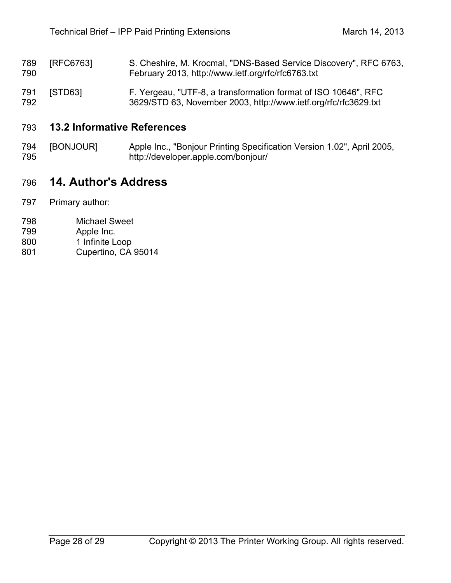- 789 [RFC6763] S. Cheshire, M. Krocmal, "DNS-Based Service Discovery", RFC 6763,<br>790 February 2013, http://www.ietf.org/rfc/rfc6763.txt February 2013, http://www.ietf.org/rfc/rfc6763.txt
- [STD63] F. Yergeau, "UTF-8, a transformation format of ISO 10646", RFC 3629/STD 63, November 2003, http://www.ietf.org/rfc/rfc3629.txt

### **13.2 Informative References**

 [BONJOUR] Apple Inc., "Bonjour Printing Specification Version 1.02", April 2005, http://developer.apple.com/bonjour/

# **14. Author's Address**

- Primary author:
- Michael Sweet
- Apple Inc.
- 1 Infinite Loop
- Cupertino, CA 95014